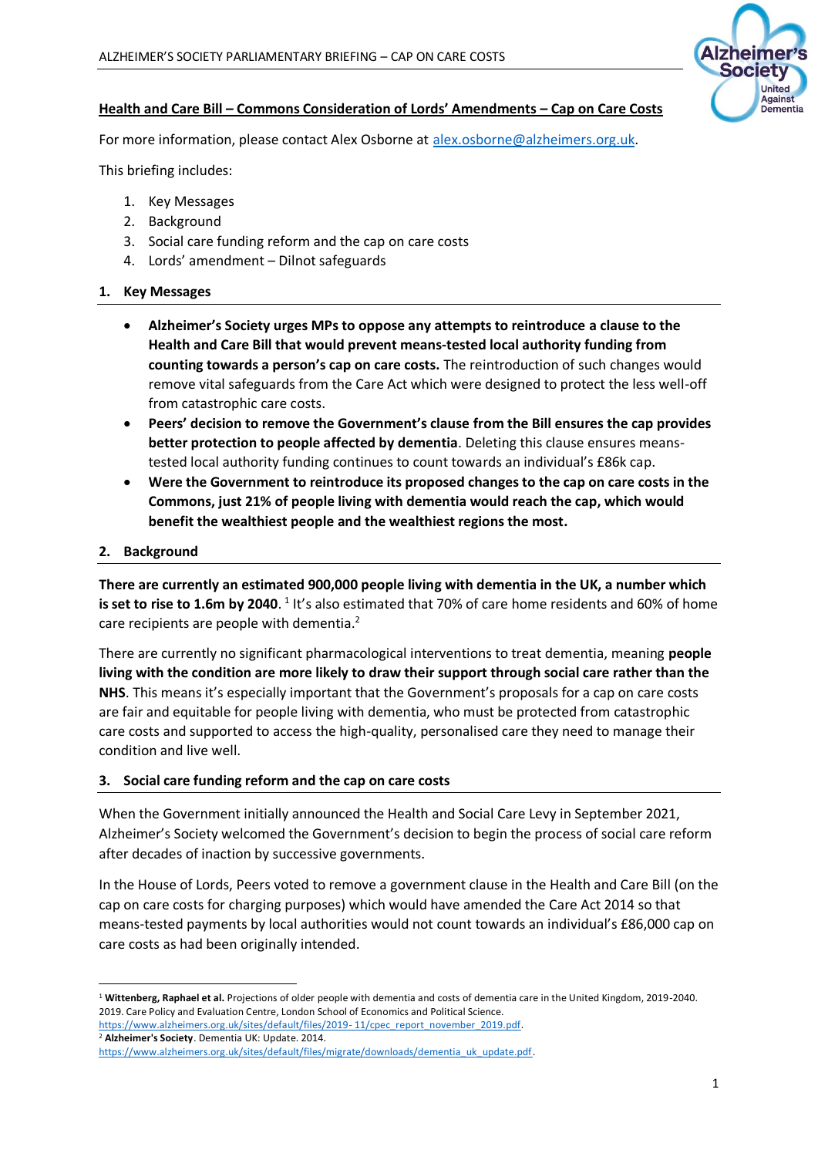

## **Health and Care Bill – Commons Consideration of Lords' Amendments – Cap on Care Costs**

For more information, please contact Alex Osborne at [alex.osborne@alzheimers.org.uk.](mailto:alex.osborne@alzheimers.org.uk)

This briefing includes:

- 1. Key Messages
- 2. Background
- 3. Social care funding reform and the cap on care costs
- 4. Lords' amendment Dilnot safeguards

### **1. Key Messages**

- **Alzheimer's Society urges MPs to oppose any attempts to reintroduce a clause to the Health and Care Bill that would prevent means-tested local authority funding from counting towards a person's cap on care costs.** The reintroduction of such changes would remove vital safeguards from the Care Act which were designed to protect the less well-off from catastrophic care costs.
- **Peers' decision to remove the Government's clause from the Bill ensures the cap provides better protection to people affected by dementia**. Deleting this clause ensures meanstested local authority funding continues to count towards an individual's £86k cap.
- **Were the Government to reintroduce its proposed changes to the cap on care costs in the Commons, just 21% of people living with dementia would reach the cap, which would benefit the wealthiest people and the wealthiest regions the most.**

## **2. Background**

**There are currently an estimated 900,000 people living with dementia in the UK, a number which**  is set to rise to 1.6m by 2040. <sup>1</sup> It's also estimated that 70% of care home residents and 60% of home care recipients are people with dementia.<sup>2</sup>

There are currently no significant pharmacological interventions to treat dementia, meaning **people living with the condition are more likely to draw their support through social care rather than the NHS**. This means it's especially important that the Government's proposals for a cap on care costs are fair and equitable for people living with dementia, who must be protected from catastrophic care costs and supported to access the high-quality, personalised care they need to manage their condition and live well.

### **3. Social care funding reform and the cap on care costs**

When the Government initially announced the Health and Social Care Levy in September 2021, Alzheimer's Society welcomed the Government's decision to begin the process of social care reform after decades of inaction by successive governments.

In the House of Lords, Peers voted to remove a government clause in the Health and Care Bill (on the cap on care costs for charging purposes) which would have amended the Care Act 2014 so that means-tested payments by local authorities would not count towards an individual's £86,000 cap on care costs as had been originally intended.

<sup>1</sup> **Wittenberg, Raphael et al.** Projections of older people with dementia and costs of dementia care in the United Kingdom, 2019-2040. 2019. Care Policy and Evaluation Centre, London School of Economics and Political Science.

[https://www.alzheimers.org.uk/sites/default/files/2019-](https://www.alzheimers.org.uk/sites/default/files/2019-%2011/cpec_report_november_2019.pdf)11/cpec\_report\_november\_2019.pdf. <sup>2</sup> **Alzheimer's Society**. Dementia UK: Update. 2014.

[https://www.alzheimers.org.uk/sites/default/files/migrate/downloads/dementia\\_uk\\_update.pdf.](https://www.alzheimers.org.uk/sites/default/files/migrate/downloads/dementia_uk_update.pdf)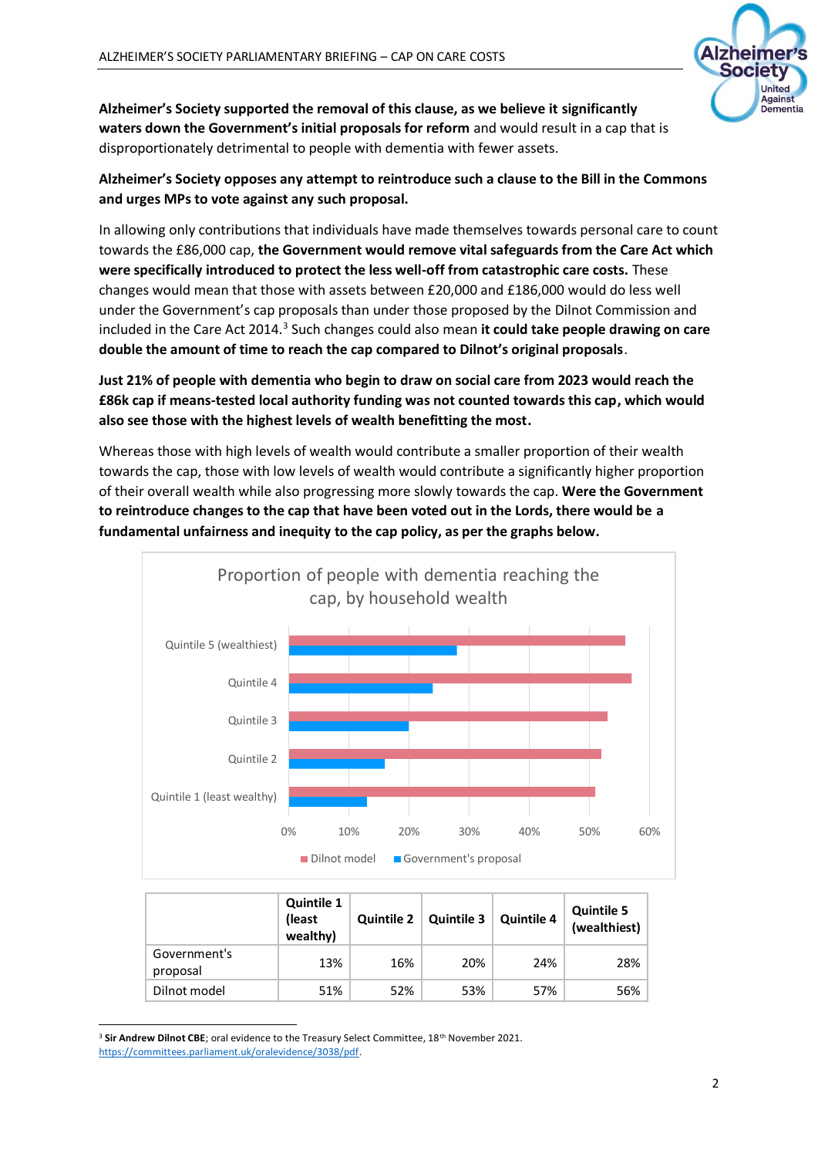

**Alzheimer's Society supported the removal of this clause, as we believe it significantly waters down the Government's initial proposals for reform** and would result in a cap that is disproportionately detrimental to people with dementia with fewer assets.

**Alzheimer's Society opposes any attempt to reintroduce such a clause to the Bill in the Commons and urges MPs to vote against any such proposal.**

In allowing only contributions that individuals have made themselves towards personal care to count towards the £86,000 cap, **the Government would remove vital safeguards from the Care Act which were specifically introduced to protect the less well-off from catastrophic care costs.** These changes would mean that those with assets between £20,000 and £186,000 would do less well under the Government's cap proposals than under those proposed by the Dilnot Commission and included in the Care Act 2014.<sup>3</sup> Such changes could also mean it could take people drawing on care **double the amount of time to reach the cap compared to Dilnot's original proposals**.

**Just 21% of people with dementia who begin to draw on social care from 2023 would reach the £86k cap if means-tested local authority funding was not counted towards this cap, which would also see those with the highest levels of wealth benefitting the most.** 

Whereas those with high levels of wealth would contribute a smaller proportion of their wealth towards the cap, those with low levels of wealth would contribute a significantly higher proportion of their overall wealth while also progressing more slowly towards the cap. **Were the Government to reintroduce changes to the cap that have been voted out in the Lords, there would be a fundamental unfairness and inequity to the cap policy, as per the graphs below.**



|                          | <b>Quintile 1</b><br>(least<br>wealthy) | <b>Quintile 2</b> | <b>Quintile 3</b> | <b>Quintile 4</b> | <b>Quintile 5</b><br>(wealthiest) |  |
|--------------------------|-----------------------------------------|-------------------|-------------------|-------------------|-----------------------------------|--|
| Government's<br>proposal | 13%                                     | 16%               | 20%               | 24%               | 28%                               |  |
| Dilnot model             | 51%                                     | 52%               | 53%               | 57%               | 56%                               |  |

<sup>&</sup>lt;sup>3</sup> Sir Andrew Dilnot CBE; oral evidence to the Treasury Select Committee, 18<sup>th</sup> November 2021. [https://committees.parliament.uk/oralevidence/3038/pdf.](https://committees.parliament.uk/oralevidence/3038/pdf)